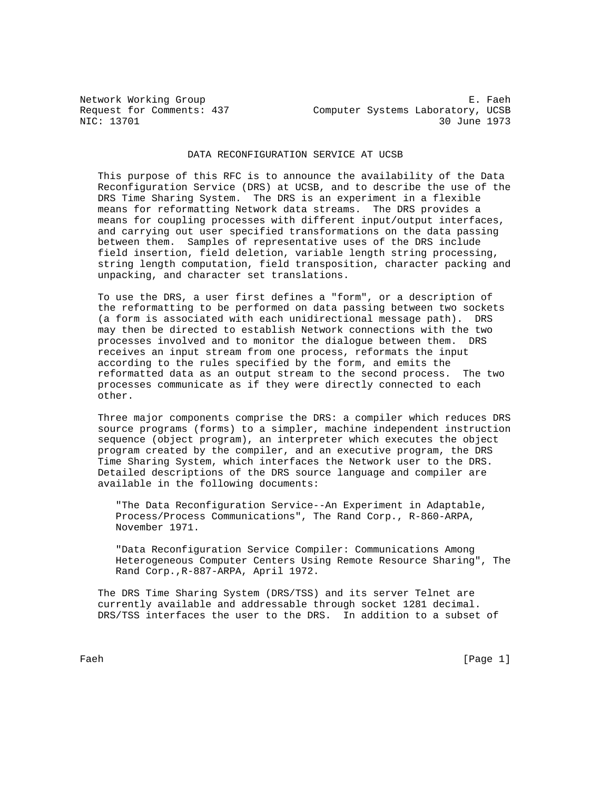Network Working Group and the set of the set of the set of the set of the set of the set of the set of the set of the set of the set of the set of the set of the set of the set of the set of the set of the set of the set o Request for Comments: 437 Computer Systems Laboratory, UCSB<br>NIC: 13701 30 June 1973 30 June 1973

## DATA RECONFIGURATION SERVICE AT UCSB

 This purpose of this RFC is to announce the availability of the Data Reconfiguration Service (DRS) at UCSB, and to describe the use of the DRS Time Sharing System. The DRS is an experiment in a flexible means for reformatting Network data streams. The DRS provides a means for coupling processes with different input/output interfaces, and carrying out user specified transformations on the data passing between them. Samples of representative uses of the DRS include field insertion, field deletion, variable length string processing, string length computation, field transposition, character packing and unpacking, and character set translations.

 To use the DRS, a user first defines a "form", or a description of the reformatting to be performed on data passing between two sockets (a form is associated with each unidirectional message path). DRS may then be directed to establish Network connections with the two processes involved and to monitor the dialogue between them. DRS receives an input stream from one process, reformats the input according to the rules specified by the form, and emits the reformatted data as an output stream to the second process. The two processes communicate as if they were directly connected to each other.

 Three major components comprise the DRS: a compiler which reduces DRS source programs (forms) to a simpler, machine independent instruction sequence (object program), an interpreter which executes the object program created by the compiler, and an executive program, the DRS Time Sharing System, which interfaces the Network user to the DRS. Detailed descriptions of the DRS source language and compiler are available in the following documents:

 "The Data Reconfiguration Service--An Experiment in Adaptable, Process/Process Communications", The Rand Corp., R-860-ARPA, November 1971.

 "Data Reconfiguration Service Compiler: Communications Among Heterogeneous Computer Centers Using Remote Resource Sharing", The Rand Corp.,R-887-ARPA, April 1972.

 The DRS Time Sharing System (DRS/TSS) and its server Telnet are currently available and addressable through socket 1281 decimal. DRS/TSS interfaces the user to the DRS. In addition to a subset of

Faeh [Page 1]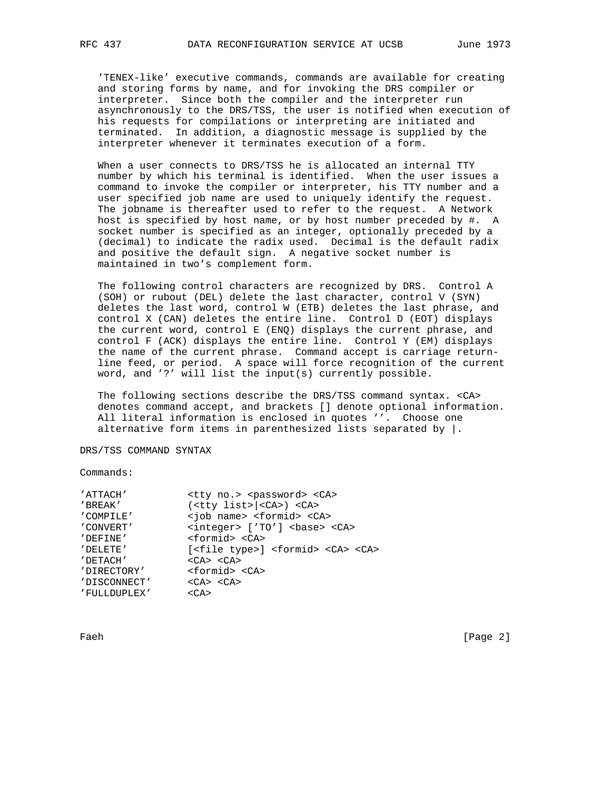'TENEX-like' executive commands, commands are available for creating and storing forms by name, and for invoking the DRS compiler or interpreter. Since both the compiler and the interpreter run asynchronously to the DRS/TSS, the user is notified when execution of his requests for compilations or interpreting are initiated and terminated. In addition, a diagnostic message is supplied by the interpreter whenever it terminates execution of a form.

 When a user connects to DRS/TSS he is allocated an internal TTY number by which his terminal is identified. When the user issues a command to invoke the compiler or interpreter, his TTY number and a user specified job name are used to uniquely identify the request. The jobname is thereafter used to refer to the request. A Network host is specified by host name, or by host number preceded by #. A socket number is specified as an integer, optionally preceded by a (decimal) to indicate the radix used. Decimal is the default radix and positive the default sign. A negative socket number is maintained in two's complement form.

 The following control characters are recognized by DRS. Control A (SOH) or rubout (DEL) delete the last character, control V (SYN) deletes the last word, control W (ETB) deletes the last phrase, and control X (CAN) deletes the entire line. Control D (EOT) displays the current word, control E (ENQ) displays the current phrase, and control F (ACK) displays the entire line. Control Y (EM) displays the name of the current phrase. Command accept is carriage return line feed, or period. A space will force recognition of the current word, and '?' will list the input(s) currently possible.

 The following sections describe the DRS/TSS command syntax. <CA> denotes command accept, and brackets [] denote optional information. All literal information is enclosed in quotes ''. Choose one alternative form items in parenthesized lists separated by  $\vert$ .

DRS/TSS COMMAND SYNTAX

Commands:

| 'ATTACH'     | <tty no.=""> <password> <ca></ca></password></tty>             |
|--------------|----------------------------------------------------------------|
| 'BREAK'      | ( <tty list="">  <ca>) <ca></ca></ca></tty>                    |
| 'COMPILE'    | <job name=""> <formid> <ca></ca></formid></job>                |
| ' CONVERT'   | <integer> ['TO'] <base/> <ca></ca></integer>                   |
| 'DEFINE'     | <formid> <ca></ca></formid>                                    |
| 'DELETE'     | [ <file type="">] <formid> <ca> <ca></ca></ca></formid></file> |
| 'DETACH'     | $\langle$ CA> $\langle$ CA>                                    |
| 'DIRECTORY'  | <formid> <ca></ca></formid>                                    |
| 'DISCONNECT' | $\langle$ CA> $\langle$ CA>                                    |
| 'FULLDUPLEX' | $<$ CA $>$                                                     |
|              |                                                                |

Faeh [Page 2]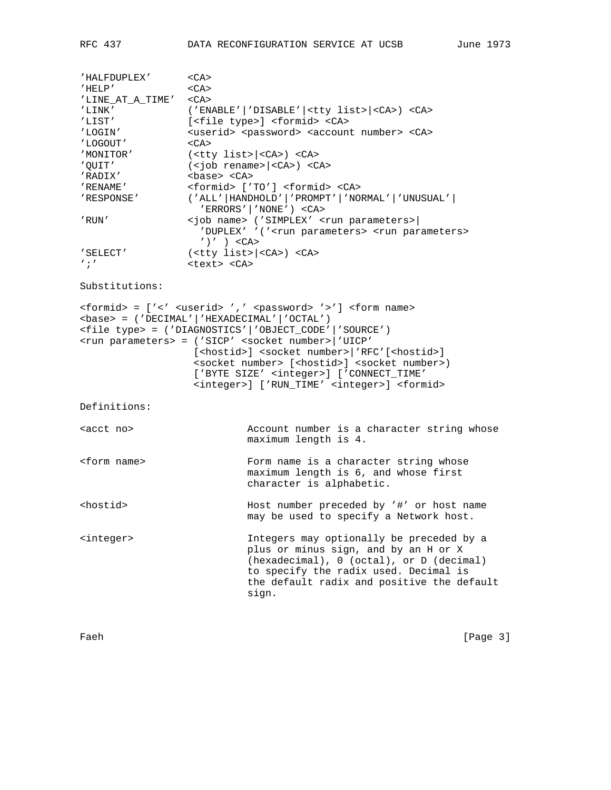'HALFDUPLEX' <CA>  $^\prime$  HELP  $^\prime$   $\hspace{1.6cm}$   $\hspace{1.6cm}<$  CA> 'LINE\_AT\_A\_TIME' <CA> 'LINK' ('ENABLE'|'DISABLE'|<tty list>|<CA>)<CA> 'LIST' [<file type>] <formid> <CA> 'LOGIN' <userid> <password> <account number> <CA> 'LOGOUT' <CA><br>'MONITOR' <CA> 'MONITOR' (<tty list>|<CA>) <CA> 'QUIT' (<job rename>|<CA>) <CA> 'RADIX' <base> <CA> 'RENAME' <formid> ['TO'] <formid> <CA> 'RESPONSE' ('ALL'|HANDHOLD'|'PROMPT'|'NORMAL'|'UNUSUAL'| 'ERRORS'|'NONE') <CA> 'RUN' <job name> ('SIMPLEX' <run parameters>| 'DUPLEX' '('<run parameters> <run parameters>  $'$ )' ) <CA> 'SELECT' (<tty list>|<CA>) <CA> ';' <text><CA> Substitutions: <formid> = ['<' <userid> ',' <password> '>'] <form name> <base> = ('DECIMAL'|'HEXADECIMAL'|'OCTAL') <file type> = ('DIAGNOSTICS'|'OBJECT\_CODE'|'SOURCE') <run parameters> = ('SICP' <socket number>|'UICP' [<hostid>] <socket number>|'RFC'[<hostid>] <socket number> [<hostid>] <socket number>) ['BYTE SIZE' <integer>] ['CONNECT\_TIME' <integer>] ['RUN\_TIME' <integer>] <formid> Definitions: <acct no> Account number is a character string whose maximum length is 4. <form name> Form name is a character string whose maximum length is 6, and whose first character is alphabetic. <hostid> Host number preceded by '#' or host name may be used to specify a Network host. <integer> Integers may optionally be preceded by a plus or minus sign, and by an H or X (hexadecimal), 0 (octal), or D (decimal) to specify the radix used. Decimal is the default radix and positive the default sign.

Faeh [Page 3]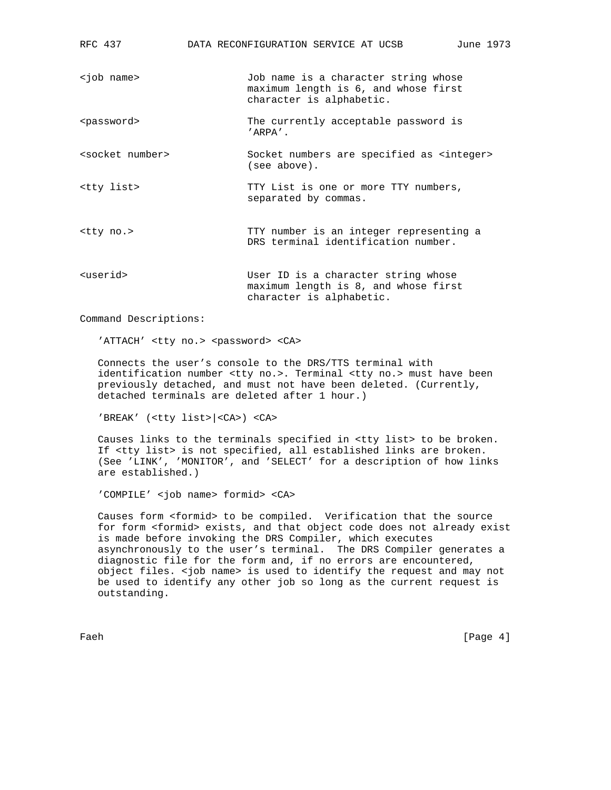| RFC 437                     | DATA RECONFIGURATION SERVICE AT UCSB<br>June 1973                                                        |
|-----------------------------|----------------------------------------------------------------------------------------------------------|
| <job name=""></job>         | Job name is a character string whose<br>maximum length is 6, and whose first<br>character is alphabetic. |
| <password></password>       | The currently acceptable password is<br>$'$ ARPA $'$ .                                                   |
| <socket number=""></socket> | Socket numbers are specified as <integer><br/>(see above).</integer>                                     |
| <tty list=""></tty>         | TTY List is one or more TTY numbers,<br>separated by commas.                                             |
| <tty no.=""></tty>          | TTY number is an integer representing a<br>DRS terminal identification number.                           |
| <userid></userid>           | User ID is a character string whose<br>maximum length is 8, and whose first<br>character is alphabetic.  |

Command Descriptions:

'ATTACH' <tty no.> <password> <CA>

 Connects the user's console to the DRS/TTS terminal with identification number <tty no.>. Terminal <tty no.> must have been previously detached, and must not have been deleted. (Currently, detached terminals are deleted after 1 hour.)

'BREAK' (<tty list>|<CA>) <CA>

 Causes links to the terminals specified in <tty list> to be broken. If <tty list> is not specified, all established links are broken. (See 'LINK', 'MONITOR', and 'SELECT' for a description of how links are established.)

'COMPILE' <job name> formid> <CA>

 Causes form <formid> to be compiled. Verification that the source for form <formid> exists, and that object code does not already exist is made before invoking the DRS Compiler, which executes asynchronously to the user's terminal. The DRS Compiler generates a diagnostic file for the form and, if no errors are encountered, object files. <job name> is used to identify the request and may not be used to identify any other job so long as the current request is outstanding.

Faeh [Page 4]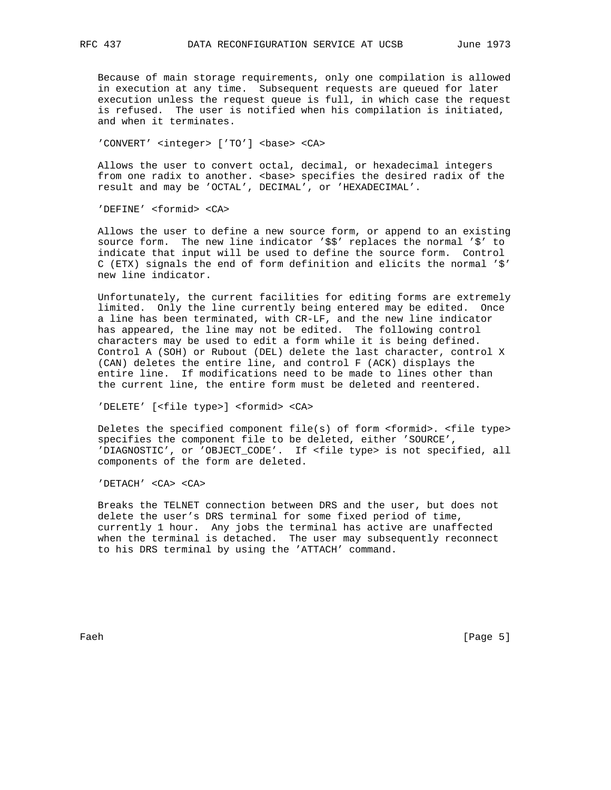Because of main storage requirements, only one compilation is allowed in execution at any time. Subsequent requests are queued for later execution unless the request queue is full, in which case the request is refused. The user is notified when his compilation is initiated, and when it terminates.

'CONVERT' <integer> ['TO'] <base> <CA>

 Allows the user to convert octal, decimal, or hexadecimal integers from one radix to another. < base> specifies the desired radix of the result and may be 'OCTAL', DECIMAL', or 'HEXADECIMAL'.

'DEFINE' <formid> <CA>

 Allows the user to define a new source form, or append to an existing source form. The new line indicator '\$\$' replaces the normal '\$' to indicate that input will be used to define the source form. Control C (ETX) signals the end of form definition and elicits the normal '\$' new line indicator.

 Unfortunately, the current facilities for editing forms are extremely limited. Only the line currently being entered may be edited. Once a line has been terminated, with CR-LF, and the new line indicator has appeared, the line may not be edited. The following control characters may be used to edit a form while it is being defined. Control A (SOH) or Rubout (DEL) delete the last character, control X (CAN) deletes the entire line, and control F (ACK) displays the entire line. If modifications need to be made to lines other than the current line, the entire form must be deleted and reentered.

'DELETE' [<file type>] <formid> <CA>

 Deletes the specified component file(s) of form <formid>. <file type> specifies the component file to be deleted, either 'SOURCE', 'DIAGNOSTIC', or 'OBJECT\_CODE'. If <file type> is not specified, all components of the form are deleted.

'DETACH' <CA> <CA>

 Breaks the TELNET connection between DRS and the user, but does not delete the user's DRS terminal for some fixed period of time, currently 1 hour. Any jobs the terminal has active are unaffected when the terminal is detached. The user may subsequently reconnect to his DRS terminal by using the 'ATTACH' command.

Faeh [Page 5]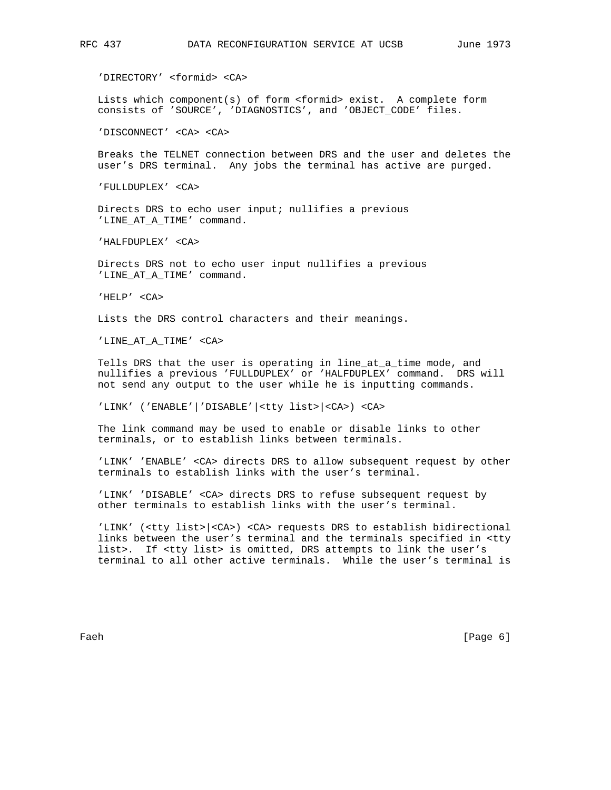'DIRECTORY' <formid> <CA>

 Lists which component(s) of form <formid> exist. A complete form consists of 'SOURCE', 'DIAGNOSTICS', and 'OBJECT\_CODE' files.

'DISCONNECT' <CA> <CA>

 Breaks the TELNET connection between DRS and the user and deletes the user's DRS terminal. Any jobs the terminal has active are purged.

'FULLDUPLEX' <CA>

 Directs DRS to echo user input; nullifies a previous 'LINE\_AT\_A\_TIME' command.

'HALFDUPLEX' <CA>

 Directs DRS not to echo user input nullifies a previous 'LINE\_AT\_A\_TIME' command.

'HELP' <CA>

Lists the DRS control characters and their meanings.

'LINE\_AT\_A\_TIME' <CA>

Tells DRS that the user is operating in line\_at\_a\_time mode, and nullifies a previous 'FULLDUPLEX' or 'HALFDUPLEX' command. DRS will not send any output to the user while he is inputting commands.

'LINK' ('ENABLE'|'DISABLE'|<tty list>|<CA>) <CA>

 The link command may be used to enable or disable links to other terminals, or to establish links between terminals.

 'LINK' 'ENABLE' <CA> directs DRS to allow subsequent request by other terminals to establish links with the user's terminal.

 'LINK' 'DISABLE' <CA> directs DRS to refuse subsequent request by other terminals to establish links with the user's terminal.

 'LINK' (<tty list>|<CA>) <CA> requests DRS to establish bidirectional links between the user's terminal and the terminals specified in <tty list>. If <tty list> is omitted, DRS attempts to link the user's terminal to all other active terminals. While the user's terminal is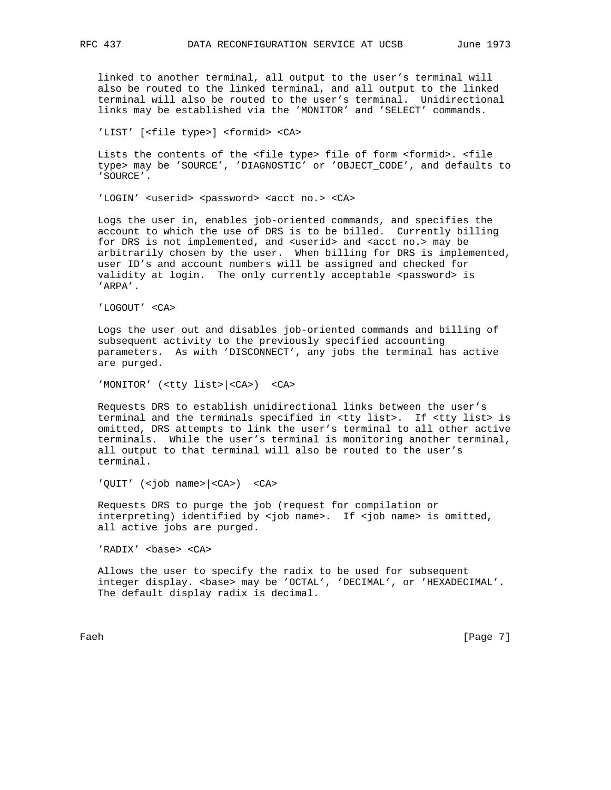linked to another terminal, all output to the user's terminal will also be routed to the linked terminal, and all output to the linked terminal will also be routed to the user's terminal. Unidirectional links may be established via the 'MONITOR' and 'SELECT' commands.

'LIST' [<file type>] <formid> <CA>

 Lists the contents of the <file type> file of form <formid>. <file type> may be 'SOURCE', 'DIAGNOSTIC' or 'OBJECT\_CODE', and defaults to 'SOURCE'.

'LOGIN' <userid> <password> <acct no.> <CA>

 Logs the user in, enables job-oriented commands, and specifies the account to which the use of DRS is to be billed. Currently billing for DRS is not implemented, and <userid> and <acct no.> may be arbitrarily chosen by the user. When billing for DRS is implemented, user ID's and account numbers will be assigned and checked for validity at login. The only currently acceptable <password> is 'ARPA'.

'LOGOUT' <CA>

 Logs the user out and disables job-oriented commands and billing of subsequent activity to the previously specified accounting parameters. As with 'DISCONNECT', any jobs the terminal has active are purged.

'MONITOR' (<tty list>|<CA>) <CA>

 Requests DRS to establish unidirectional links between the user's terminal and the terminals specified in <tty list>. If <tty list> is omitted, DRS attempts to link the user's terminal to all other active terminals. While the user's terminal is monitoring another terminal, all output to that terminal will also be routed to the user's terminal.

'QUIT' (<job name>|<CA>) <CA>

 Requests DRS to purge the job (request for compilation or interpreting) identified by <job name>. If <job name> is omitted, all active jobs are purged.

'RADIX' <base> <CA>

 Allows the user to specify the radix to be used for subsequent integer display. <base> may be 'OCTAL', 'DECIMAL', or 'HEXADECIMAL'. The default display radix is decimal.

Faeh [Page 7]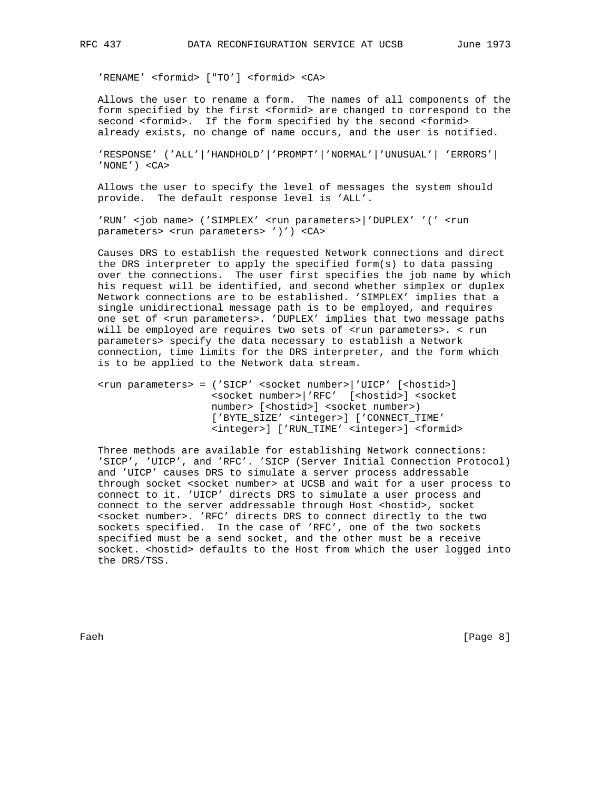'RENAME' <formid> ["TO'] <formid> <CA>

 Allows the user to rename a form. The names of all components of the form specified by the first <formid> are changed to correspond to the second <formid>. If the form specified by the second <formid> already exists, no change of name occurs, and the user is notified.

 'RESPONSE' ('ALL'|'HANDHOLD'|'PROMPT'|'NORMAL'|'UNUSUAL'| 'ERRORS'| 'NONE') <CA>

 Allows the user to specify the level of messages the system should provide. The default response level is 'ALL'.

'RUN' <job name> ('SIMPLEX' <run parameters>|'DUPLEX' '(' <run parameters> <run parameters> ')') <CA>

 Causes DRS to establish the requested Network connections and direct the DRS interpreter to apply the specified form(s) to data passing over the connections. The user first specifies the job name by which his request will be identified, and second whether simplex or duplex Network connections are to be established. 'SIMPLEX' implies that a single unidirectional message path is to be employed, and requires one set of <run parameters>. 'DUPLEX' implies that two message paths will be employed are requires two sets of <run parameters>. < run parameters> specify the data necessary to establish a Network connection, time limits for the DRS interpreter, and the form which is to be applied to the Network data stream.

 <run parameters> = ('SICP' <socket number>|'UICP' [<hostid>] <socket number>|'RFC' [<hostid>] <socket number> [<hostid>] <socket number>) ['BYTE\_SIZE' <integer>] ['CONNECT\_TIME' <integer>] ['RUN\_TIME' <integer>] <formid>

 Three methods are available for establishing Network connections: 'SICP', 'UICP', and 'RFC'. 'SICP (Server Initial Connection Protocol) and 'UICP' causes DRS to simulate a server process addressable through socket <socket number> at UCSB and wait for a user process to connect to it. 'UICP' directs DRS to simulate a user process and connect to the server addressable through Host <hostid>, socket <socket number>. 'RFC' directs DRS to connect directly to the two sockets specified. In the case of 'RFC', one of the two sockets specified must be a send socket, and the other must be a receive socket. < hostid> defaults to the Host from which the user logged into the DRS/TSS.

Faeh [Page 8]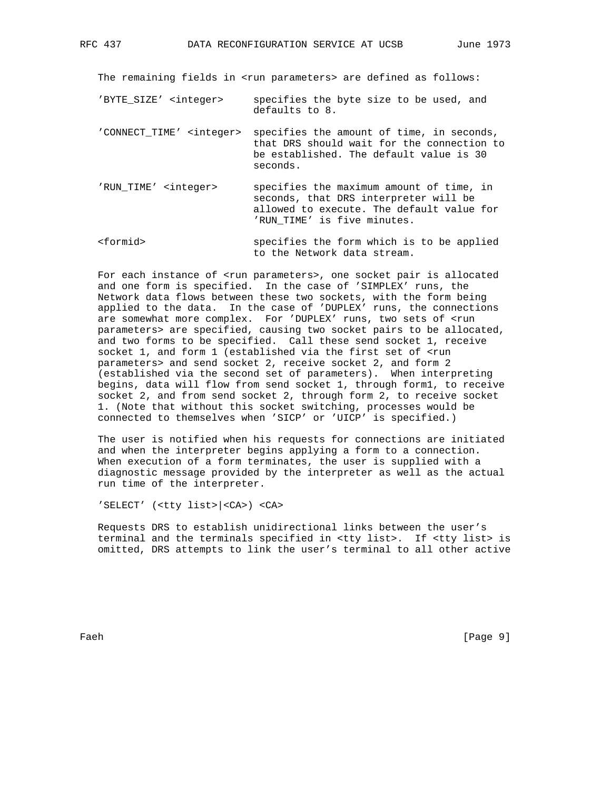The remaining fields in <run parameters> are defined as follows:

- 'BYTE\_SIZE' <integer> specifies the byte size to be used, and defaults to 8.
- 'CONNECT\_TIME' <integer> specifies the amount of time, in seconds, that DRS should wait for the connection to be established. The default value is 30 seconds.
- 'RUN\_TIME' <integer> specifies the maximum amount of time, in seconds, that DRS interpreter will be allowed to execute. The default value for 'RUN\_TIME' is five minutes.
- <formid> specifies the form which is to be applied to the Network data stream.

For each instance of <run parameters>, one socket pair is allocated and one form is specified. In the case of 'SIMPLEX' runs, the Network data flows between these two sockets, with the form being applied to the data. In the case of 'DUPLEX' runs, the connections are somewhat more complex. For 'DUPLEX' runs, two sets of <run parameters> are specified, causing two socket pairs to be allocated, and two forms to be specified. Call these send socket 1, receive socket 1, and form 1 (established via the first set of <run parameters> and send socket 2, receive socket 2, and form 2 (established via the second set of parameters). When interpreting begins, data will flow from send socket 1, through form1, to receive socket 2, and from send socket 2, through form 2, to receive socket 1. (Note that without this socket switching, processes would be connected to themselves when 'SICP' or 'UICP' is specified.)

 The user is notified when his requests for connections are initiated and when the interpreter begins applying a form to a connection. When execution of a form terminates, the user is supplied with a diagnostic message provided by the interpreter as well as the actual run time of the interpreter.

'SELECT' (<tty list>|<CA>) <CA>

 Requests DRS to establish unidirectional links between the user's terminal and the terminals specified in <tty list>. If <tty list> is omitted, DRS attempts to link the user's terminal to all other active

Faeh [Page 9]